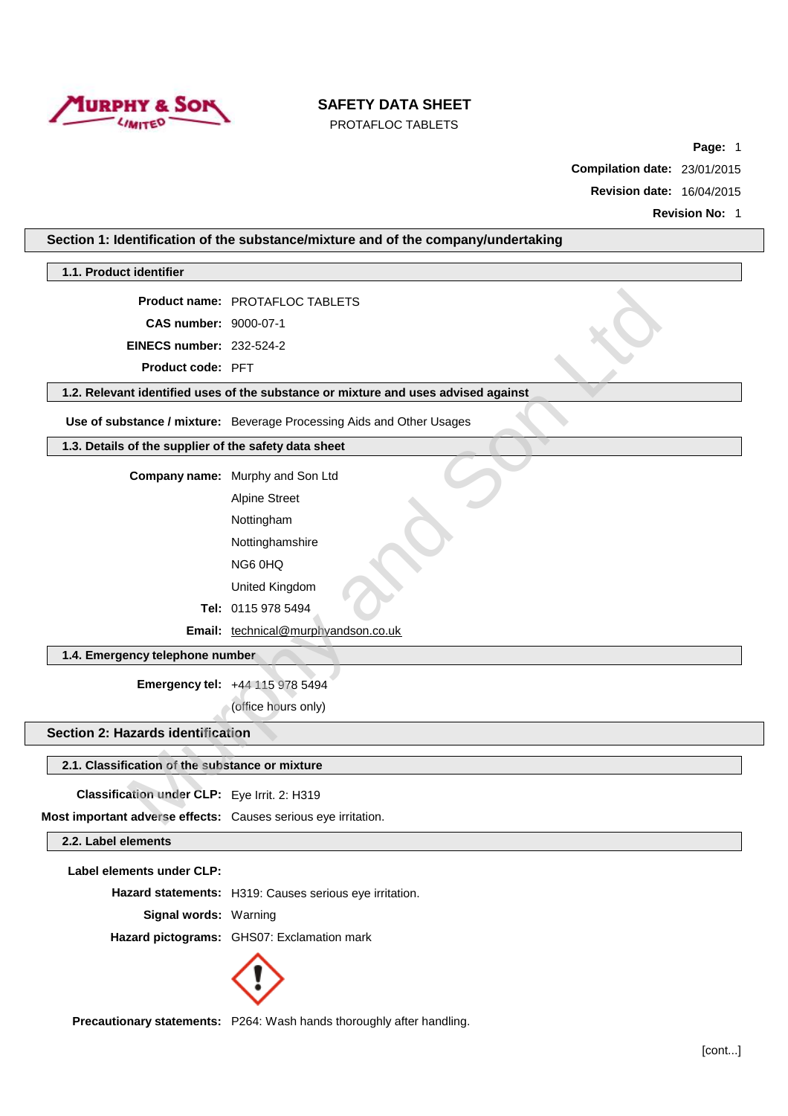

PROTAFLOC TABLETS

**Page:** 1

**Compilation date:** 23/01/2015

**Revision date:** 16/04/2015

| Section 1: Identification of the substance/mixture and of the company/undertaking |                                                                                    |  |
|-----------------------------------------------------------------------------------|------------------------------------------------------------------------------------|--|
| 1.1. Product identifier                                                           |                                                                                    |  |
|                                                                                   | <b>Product name: PROTAFLOC TABLETS</b>                                             |  |
| CAS number: 9000-07-1                                                             |                                                                                    |  |
| <b>EINECS number: 232-524-2</b>                                                   |                                                                                    |  |
| Product code: PFT                                                                 |                                                                                    |  |
|                                                                                   | 1.2. Relevant identified uses of the substance or mixture and uses advised against |  |
|                                                                                   | Use of substance / mixture: Beverage Processing Aids and Other Usages              |  |
| 1.3. Details of the supplier of the safety data sheet                             |                                                                                    |  |
|                                                                                   | Company name: Murphy and Son Ltd                                                   |  |
|                                                                                   | <b>Alpine Street</b>                                                               |  |
|                                                                                   | Nottingham                                                                         |  |
|                                                                                   | Nottinghamshire                                                                    |  |
|                                                                                   | NG6 0HQ                                                                            |  |
|                                                                                   | United Kingdom                                                                     |  |
|                                                                                   | Tel: 0115 978 5494                                                                 |  |
|                                                                                   | Email: technical@murphyandson.co.uk                                                |  |
| 1.4. Emergency telephone number                                                   |                                                                                    |  |
|                                                                                   | Emergency tel: +44 115 978 5494                                                    |  |
|                                                                                   | (office hours only)                                                                |  |
| Section 2: Hazards identification                                                 |                                                                                    |  |
| 2.1. Classification of the substance or mixture                                   |                                                                                    |  |
| Classification under CLP: Eye Irrit. 2: H319                                      |                                                                                    |  |
| Most important adverse effects: Causes serious eye irritation.                    |                                                                                    |  |
| 2.2. Label elements                                                               |                                                                                    |  |
| Label elements under CLP:                                                         |                                                                                    |  |
|                                                                                   | Hazard statements: H319: Causes serious eye irritation.                            |  |
| Signal words: Warning                                                             |                                                                                    |  |
|                                                                                   | Hazard pictograms: GHS07: Exclamation mark                                         |  |
|                                                                                   |                                                                                    |  |
|                                                                                   |                                                                                    |  |
|                                                                                   |                                                                                    |  |

**Precautionary statements:** P264: Wash hands thoroughly after handling.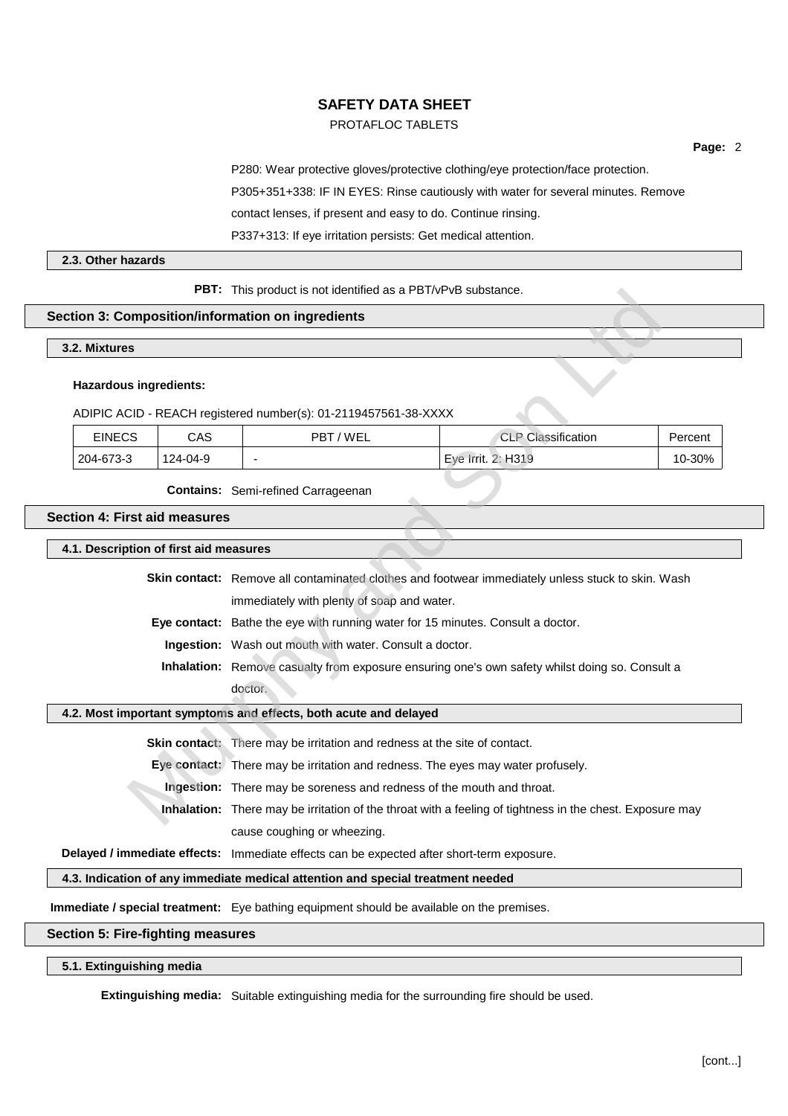# PROTAFLOC TABLETS

**Page:** 2

P280: Wear protective gloves/protective clothing/eye protection/face protection.

P305+351+338: IF IN EYES: Rinse cautiously with water for several minutes. Remove

contact lenses, if present and easy to do. Continue rinsing.

P337+313: If eye irritation persists: Get medical attention.

#### **2.3. Other hazards**

**PBT:** This product is not identified as a PBT/vPvB substance.

#### **Section 3: Composition/information on ingredients**

#### **3.2. Mixtures**

#### **Hazardous ingredients:**

| <b>PBI:</b> This product is not identified as a PBI/VPVB substance.                               |                                                                                                          |                                       |                                                                       |                           |         |
|---------------------------------------------------------------------------------------------------|----------------------------------------------------------------------------------------------------------|---------------------------------------|-----------------------------------------------------------------------|---------------------------|---------|
|                                                                                                   |                                                                                                          |                                       | tion 3: Composition/information on ingredients                        |                           |         |
| .2. Mixtures                                                                                      |                                                                                                          |                                       |                                                                       |                           |         |
|                                                                                                   |                                                                                                          | <b>Hazardous ingredients:</b>         | ADIPIC ACID - REACH registered number(s): 01-2119457561-38-XXXX       |                           |         |
| <b>EINECS</b><br>CAS                                                                              |                                                                                                          |                                       | PBT/WEL                                                               | <b>CLP Classification</b> | Percent |
|                                                                                                   | 204-673-3                                                                                                | 124-04-9                              |                                                                       | Eye Irrit. 2: H319        | 10-30%  |
|                                                                                                   |                                                                                                          |                                       | <b>Contains:</b> Semi-refined Carrageenan                             |                           |         |
|                                                                                                   |                                                                                                          | tion 4: First aid measures            |                                                                       |                           |         |
|                                                                                                   |                                                                                                          | .1. Description of first aid measures |                                                                       |                           |         |
| Skin contact: Remove all contaminated clothes and footwear immediately unless stuck to skin. Wash |                                                                                                          |                                       |                                                                       |                           |         |
| immediately with plenty of soap and water.                                                        |                                                                                                          |                                       |                                                                       |                           |         |
| Eye contact: Bathe the eye with running water for 15 minutes. Consult a doctor.                   |                                                                                                          |                                       |                                                                       |                           |         |
| Ingestion: Wash out mouth with water. Consult a doctor.                                           |                                                                                                          |                                       |                                                                       |                           |         |
|                                                                                                   | Inhalation: Remove casualty from exposure ensuring one's own safety whilst doing so. Consult a           |                                       |                                                                       |                           |         |
| doctor.                                                                                           |                                                                                                          |                                       |                                                                       |                           |         |
| .2. Most important symptoms and effects, both acute and delayed                                   |                                                                                                          |                                       |                                                                       |                           |         |
|                                                                                                   | Skin contact: There may be irritation and redness at the site of contact.                                |                                       |                                                                       |                           |         |
|                                                                                                   | Eye contact: There may be irritation and redness. The eyes may water profusely.                          |                                       |                                                                       |                           |         |
|                                                                                                   |                                                                                                          |                                       | Ingestion: There may be soreness and redness of the mouth and throat. |                           |         |
|                                                                                                   | Inhalation: There may be irritation of the throat with a feeling of tightness in the chest. Exposure may |                                       |                                                                       |                           |         |

## **Section 4: First aid measures**

| 4.1. Description of first aid measures |  |  |
|----------------------------------------|--|--|
|----------------------------------------|--|--|

#### **4.2. Most important symptoms and effects, both acute and delayed**

**Inhalation:** There may be irritation of the throat with a feeling of tightness in the chest. Exposure may cause coughing or wheezing.

**Delayed / immediate effects:** Immediate effects can be expected after short-term exposure.

**4.3. Indication of any immediate medical attention and special treatment needed**

**Immediate / special treatment:** Eye bathing equipment should be available on the premises.

# **Section 5: Fire-fighting measures**

**5.1. Extinguishing media**

**Extinguishing media:** Suitable extinguishing media for the surrounding fire should be used.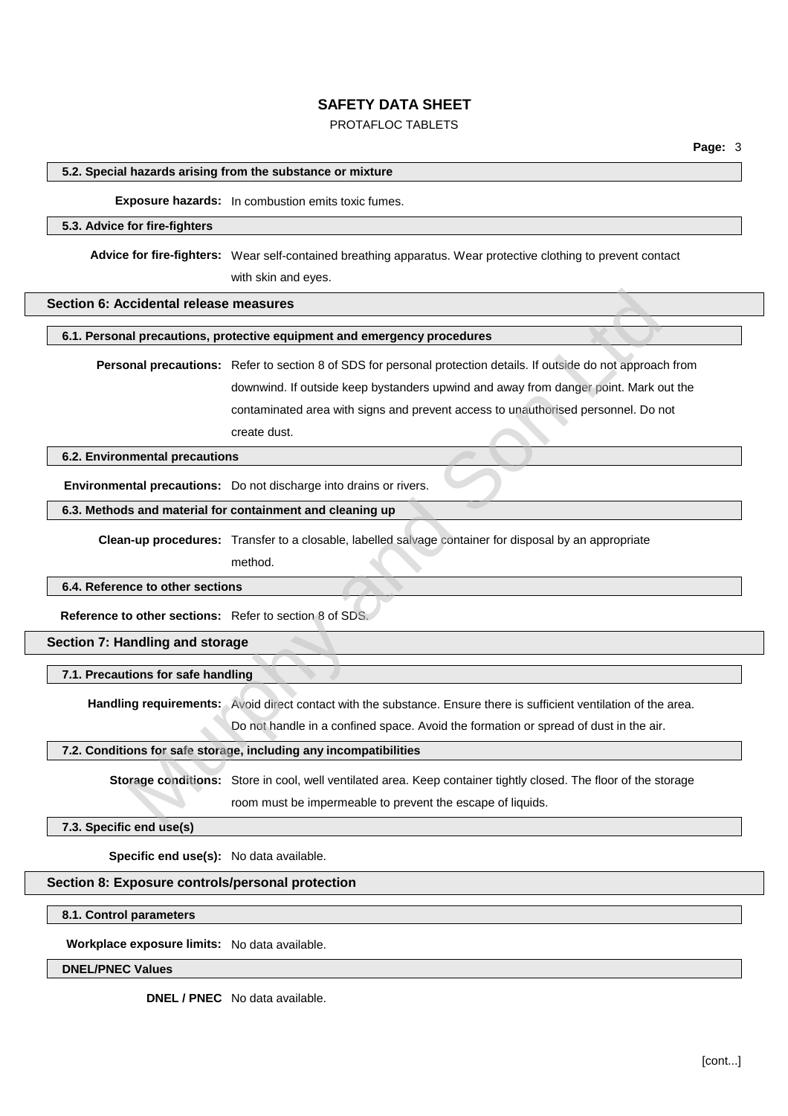# PROTAFLOC TABLETS

#### **5.2. Special hazards arising from the substance or mixture**

#### **Exposure hazards:** In combustion emits toxic fumes.

#### **5.3. Advice for fire-fighters**

**Advice for fire-fighters:** Wear self-contained breathing apparatus. Wear protective clothing to prevent contact with skin and eyes.

#### **Section 6: Accidental release measures**

#### **6.1. Personal precautions, protective equipment and emergency procedures**

**Personal precautions:** Refer to section 8 of SDS for personal protection details. If outside do not approach from downwind. If outside keep bystanders upwind and away from danger point. Mark out the contaminated area with signs and prevent access to unauthorised personnel. Do not create dust. cidental release measures<br>
al precautions; protective equipment and emergency procedures<br>
and precautions: Refer to section 8 of SDS for personal protection details. If outside do not approace<br>
downwind. If outside keep by

## **6.2. Environmental precautions**

**Environmental precautions:** Do not discharge into drains or rivers.

# **6.3. Methods and material for containment and cleaning up**

**Clean-up procedures:** Transfer to a closable, labelled salvage container for disposal by an appropriate

method.

# **6.4. Reference to other sections**

**Reference to other sections:** Refer to section 8 of SDS.

**Section 7: Handling and storage**

**7.1. Precautions for safe handling**

**Handling requirements:** Avoid direct contact with the substance. Ensure there is sufficient ventilation of the area.

Do not handle in a confined space. Avoid the formation or spread of dust in the air.

#### **7.2. Conditions for safe storage, including any incompatibilities**

**Storage conditions:** Store in cool, well ventilated area. Keep container tightly closed. The floor of the storage room must be impermeable to prevent the escape of liquids.

**7.3. Specific end use(s)**

**Specific end use(s):** No data available.

# **Section 8: Exposure controls/personal protection**

**8.1. Control parameters**

**Workplace exposure limits:** No data available.

## **DNEL/PNEC Values**

**DNEL / PNEC** No data available.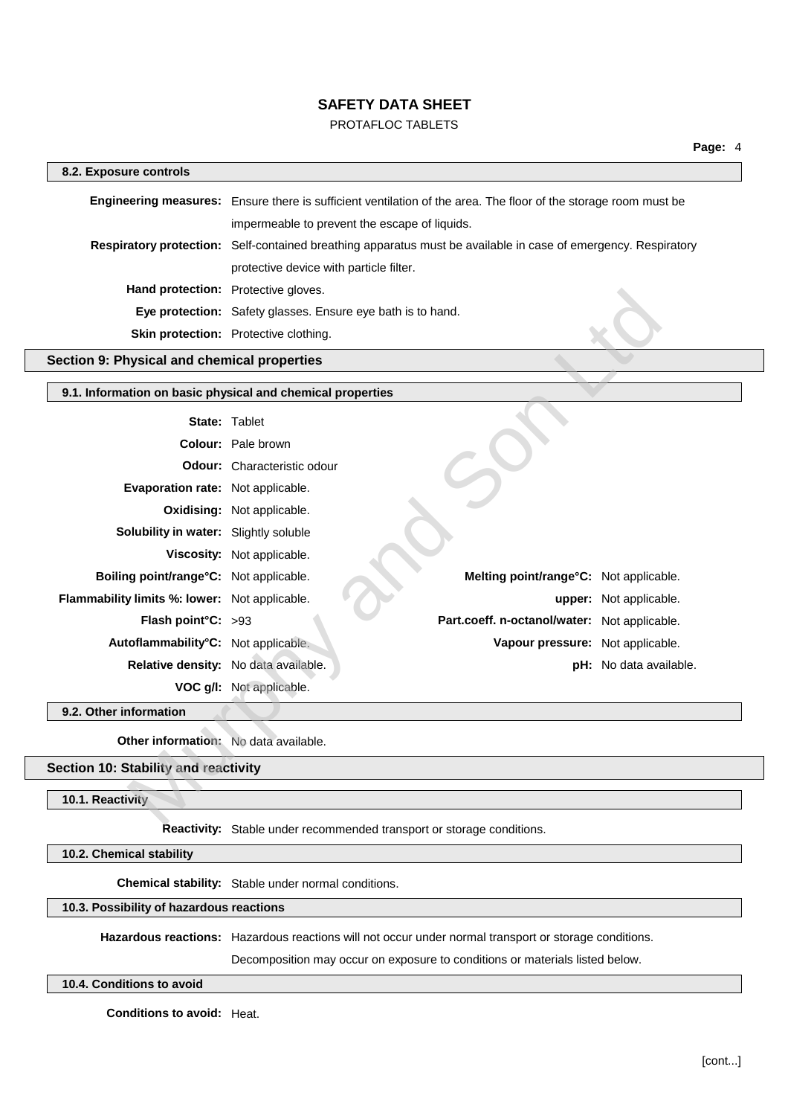# PROTAFLOC TABLETS

| 8.2. Exposure controls                                     |                                                             |                                                                                                                 |                        |
|------------------------------------------------------------|-------------------------------------------------------------|-----------------------------------------------------------------------------------------------------------------|------------------------|
|                                                            |                                                             | Engineering measures: Ensure there is sufficient ventilation of the area. The floor of the storage room must be |                        |
|                                                            | impermeable to prevent the escape of liquids.               |                                                                                                                 |                        |
|                                                            |                                                             | Respiratory protection: Self-contained breathing apparatus must be available in case of emergency. Respiratory  |                        |
|                                                            | protective device with particle filter.                     |                                                                                                                 |                        |
|                                                            | Hand protection: Protective gloves.                         |                                                                                                                 |                        |
|                                                            | Eye protection: Safety glasses. Ensure eye bath is to hand. |                                                                                                                 |                        |
|                                                            | Skin protection: Protective clothing.                       |                                                                                                                 |                        |
| Section 9: Physical and chemical properties                |                                                             |                                                                                                                 |                        |
| 9.1. Information on basic physical and chemical properties |                                                             |                                                                                                                 |                        |
|                                                            | <b>State: Tablet</b>                                        |                                                                                                                 |                        |
|                                                            | Colour: Pale brown                                          |                                                                                                                 |                        |
|                                                            | <b>Odour:</b> Characteristic odour                          |                                                                                                                 |                        |
| Evaporation rate: Not applicable.                          |                                                             |                                                                                                                 |                        |
|                                                            | Oxidising: Not applicable.                                  |                                                                                                                 |                        |
| Solubility in water: Slightly soluble                      |                                                             |                                                                                                                 |                        |
|                                                            | Viscosity: Not applicable.                                  |                                                                                                                 |                        |
| Boiling point/range°C: Not applicable.                     |                                                             | Melting point/range°C: Not applicable.                                                                          |                        |
| Flammability limits %: lower: Not applicable.              |                                                             |                                                                                                                 | upper: Not applicable. |
| Flash point°C: >93                                         |                                                             | Part.coeff. n-octanol/water: Not applicable.                                                                    |                        |
| Autoflammability°C: Not applicable.                        |                                                             | Vapour pressure: Not applicable.                                                                                |                        |
|                                                            | Relative density: No data available.                        |                                                                                                                 | pH: No data available. |
|                                                            | VOC g/l: Not applicable.                                    |                                                                                                                 |                        |
| 9.2. Other information                                     |                                                             |                                                                                                                 |                        |
| Other information: No data available.                      |                                                             |                                                                                                                 |                        |
| Section 10: Stability and reactivity                       |                                                             |                                                                                                                 |                        |
| 10.1. Reactivity                                           |                                                             |                                                                                                                 |                        |
|                                                            |                                                             |                                                                                                                 |                        |

# **Section 10: Stability and reactivity**

## **10.1. Reactivity**

**Reactivity:** Stable under recommended transport or storage conditions.

**10.2. Chemical stability**

**Chemical stability:** Stable under normal conditions.

## **10.3. Possibility of hazardous reactions**

**Hazardous reactions:** Hazardous reactions will not occur under normal transport or storage conditions.

Decomposition may occur on exposure to conditions or materials listed below.

## **10.4. Conditions to avoid**

**Conditions to avoid:** Heat.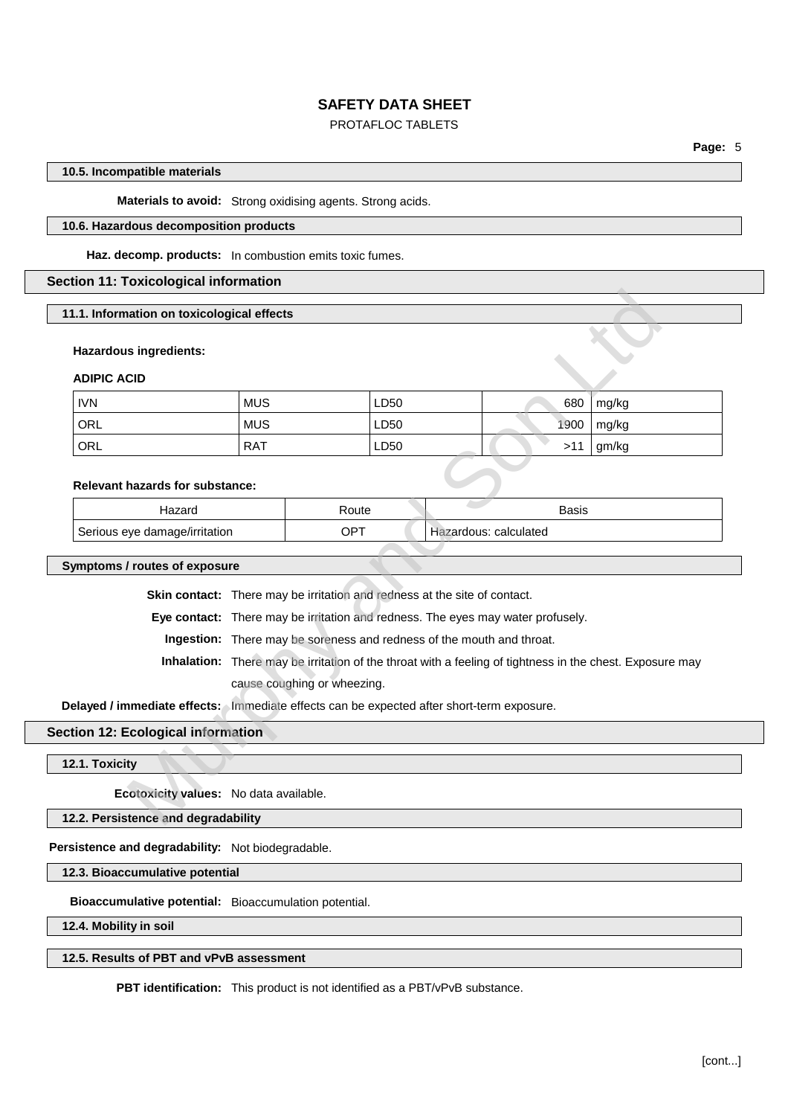# PROTAFLOC TABLETS

## **10.5. Incompatible materials**

**Materials to avoid:** Strong oxidising agents. Strong acids.

#### **10.6. Hazardous decomposition products**

**Haz. decomp. products:** In combustion emits toxic fumes.

## **Section 11: Toxicological information**

**11.1. Information on toxicological effects**

#### **Hazardous ingredients:**

### **ADIPIC ACID**

| 1.1. Information on toxicological effects |                                                                                                          |            |      |                       |              |       |
|-------------------------------------------|----------------------------------------------------------------------------------------------------------|------------|------|-----------------------|--------------|-------|
| <b>Hazardous ingredients:</b>             |                                                                                                          |            |      |                       |              |       |
|                                           |                                                                                                          |            |      |                       |              |       |
| <b>ADIPIC ACID</b>                        |                                                                                                          |            |      |                       |              |       |
| <b>IVN</b>                                | <b>MUS</b>                                                                                               | LD50       |      |                       | 680          | mg/kg |
| <b>ORL</b>                                | <b>MUS</b>                                                                                               |            | LD50 |                       | 1900         | mg/kg |
| ORL                                       | <b>RAT</b>                                                                                               |            | LD50 |                       | >11          | gm/kg |
|                                           |                                                                                                          |            |      |                       |              |       |
| <b>Relevant hazards for substance:</b>    |                                                                                                          |            |      |                       |              |       |
| Hazard                                    |                                                                                                          | Route      |      |                       | <b>Basis</b> |       |
| Serious eye damage/irritation             |                                                                                                          | <b>OPT</b> |      | Hazardous: calculated |              |       |
|                                           |                                                                                                          |            |      |                       |              |       |
| ymptoms / routes of exposure              |                                                                                                          |            |      |                       |              |       |
|                                           | Skin contact: There may be irritation and redness at the site of contact.                                |            |      |                       |              |       |
|                                           | Eye contact: There may be irritation and redness. The eyes may water profusely.                          |            |      |                       |              |       |
|                                           | Ingestion: There may be soreness and redness of the mouth and throat.                                    |            |      |                       |              |       |
|                                           | Inhalation: There may be irritation of the throat with a feeling of tightness in the chest. Exposure may |            |      |                       |              |       |
|                                           | cause coughing or wheezing.                                                                              |            |      |                       |              |       |
|                                           | elayed / immediate effects: Immediate effects can be expected after short-term exposure.                 |            |      |                       |              |       |
| tion 12: Ecological information           |                                                                                                          |            |      |                       |              |       |
|                                           |                                                                                                          |            |      |                       |              |       |
| 2.1. Toxicity                             |                                                                                                          |            |      |                       |              |       |
|                                           | Ecotoxicity values: No data available.                                                                   |            |      |                       |              |       |
| 2.2. Persistence and degradability        |                                                                                                          |            |      |                       |              |       |

## **Relevant hazards for substance:**

| Hazard                        | रoute | Basis                 |
|-------------------------------|-------|-----------------------|
| Serious eye damage/irritation | OPT   | Hazardous: calculated |

**Symptoms / routes of exposure**

# **Section 12: Ecological information**

**12.1. Toxicity**

**12.2. Persistence and degradability**

**Persistence and degradability:** Not biodegradable.

**12.3. Bioaccumulative potential**

**Bioaccumulative potential:** Bioaccumulation potential.

**12.4. Mobility in soil**

## **12.5. Results of PBT and vPvB assessment**

**PBT identification:** This product is not identified as a PBT/vPvB substance.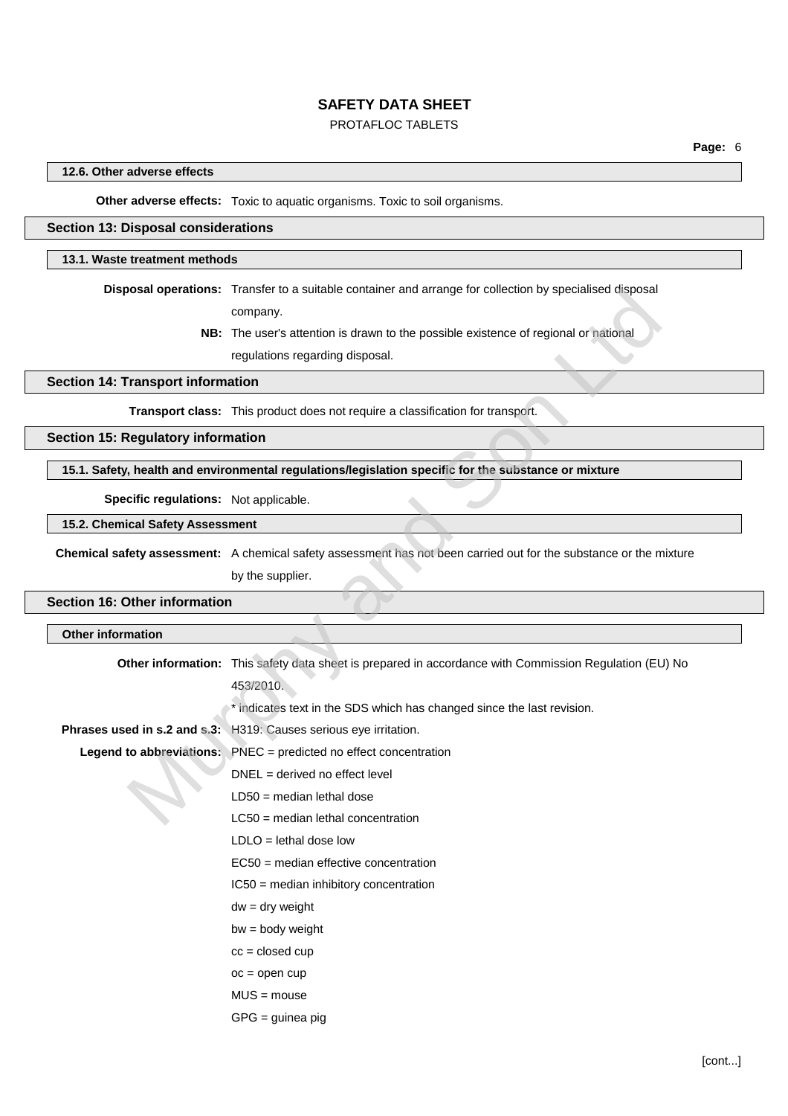# PROTAFLOC TABLETS

## **12.6. Other adverse effects**

**Other adverse effects:** Toxic to aquatic organisms. Toxic to soil organisms.

#### **Section 13: Disposal considerations**

#### **13.1. Waste treatment methods**

**Disposal operations:** Transfer to a suitable container and arrange for collection by specialised disposal

## **15.1. Safety, health and environmental regulations/legislation specific for the substance or mixture**

#### **15.2. Chemical Safety Assessment**

# **Section 16: Other information**

|                                           | <b>Disposal operations:</b> I ransfer to a suitable container and arrange for collection by specialised disposal   |
|-------------------------------------------|--------------------------------------------------------------------------------------------------------------------|
|                                           | company.                                                                                                           |
|                                           | NB: The user's attention is drawn to the possible existence of regional or national                                |
|                                           | regulations regarding disposal.                                                                                    |
| <b>Section 14: Transport information</b>  |                                                                                                                    |
|                                           | Transport class: This product does not require a classification for transport.                                     |
| <b>Section 15: Regulatory information</b> |                                                                                                                    |
|                                           | 15.1. Safety, health and environmental regulations/legislation specific for the substance or mixture               |
| Specific regulations: Not applicable.     |                                                                                                                    |
| 15.2. Chemical Safety Assessment          |                                                                                                                    |
|                                           | Chemical safety assessment: A chemical safety assessment has not been carried out for the substance or the mixture |
|                                           | by the supplier.                                                                                                   |
| <b>Section 16: Other information</b>      |                                                                                                                    |
| <b>Other information</b>                  |                                                                                                                    |
|                                           |                                                                                                                    |
|                                           | Other information: This safety data sheet is prepared in accordance with Commission Regulation (EU) No             |
|                                           | 453/2010.                                                                                                          |
|                                           | * indicates text in the SDS which has changed since the last revision.                                             |
|                                           | Phrases used in s.2 and s.3: H319: Causes serious eye irritation.                                                  |
|                                           | Legend to abbreviations: PNEC = predicted no effect concentration                                                  |
|                                           | $DNEL = derived no effect level$                                                                                   |
|                                           | $LD50 = median$ lethal dose                                                                                        |
|                                           | $LC50$ = median lethal concentration                                                                               |
|                                           | $LDLO =$ lethal dose low                                                                                           |
|                                           | EC50 = median effective concentration                                                                              |
|                                           | IC50 = median inhibitory concentration                                                                             |
|                                           | $dw = dry$ weight                                                                                                  |
|                                           | $bw = body weight$                                                                                                 |
|                                           | $cc = closed cup$                                                                                                  |
|                                           | $oc = open cup$                                                                                                    |
|                                           | $MUS = mouse$                                                                                                      |
|                                           | $GPG =$ guinea pig                                                                                                 |